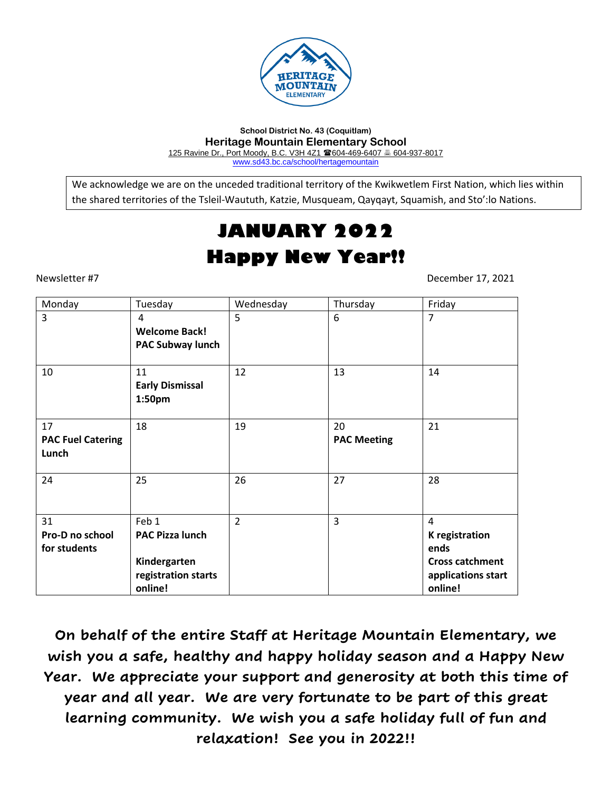

**School District No. 43 (Coquitlam) Heritage Mountain Elementary School** 125 Ravine Dr., Port Moody, B.C. V3H 4Z1 604-469-6407 604-937-8017 [www.sd43.bc.ca/school/hertagemountain](http://www.sd43.bc.ca/school/hertagemountain)

We acknowledge we are on the unceded traditional territory of the Kwikwetlem First Nation, which lies within the shared territories of the Tsleil-Waututh, Katzie, Musqueam, Qayqayt, Squamish, and Sto':lo Nations.

# **JANUARY 2022 Happy New Year!!**

Newsletter #7 December 17, 2021

| Monday                                  | Tuesday                                                                           | Wednesday      | Thursday                 | Friday                                                                                                     |
|-----------------------------------------|-----------------------------------------------------------------------------------|----------------|--------------------------|------------------------------------------------------------------------------------------------------------|
| 3                                       | 4<br><b>Welcome Back!</b><br><b>PAC Subway lunch</b>                              | 5              | 6                        | $\overline{7}$                                                                                             |
| 10                                      | 11<br><b>Early Dismissal</b><br>1:50pm                                            | 12             | 13                       | 14                                                                                                         |
| 17<br><b>PAC Fuel Catering</b><br>Lunch | 18                                                                                | 19             | 20<br><b>PAC Meeting</b> | 21                                                                                                         |
| 24                                      | 25                                                                                | 26             | 27                       | 28                                                                                                         |
| 31<br>Pro-D no school<br>for students   | Feb 1<br><b>PAC Pizza lunch</b><br>Kindergarten<br>registration starts<br>online! | $\overline{2}$ | 3                        | $\overline{4}$<br><b>K</b> registration<br>ends<br><b>Cross catchment</b><br>applications start<br>online! |

**On behalf of the entire Staff at Heritage Mountain Elementary, we wish you a safe, healthy and happy holiday season and a Happy New Year. We appreciate your support and generosity at both this time of year and all year. We are very fortunate to be part of this great learning community. We wish you a safe holiday full of fun and relaxation! See you in 2022!!**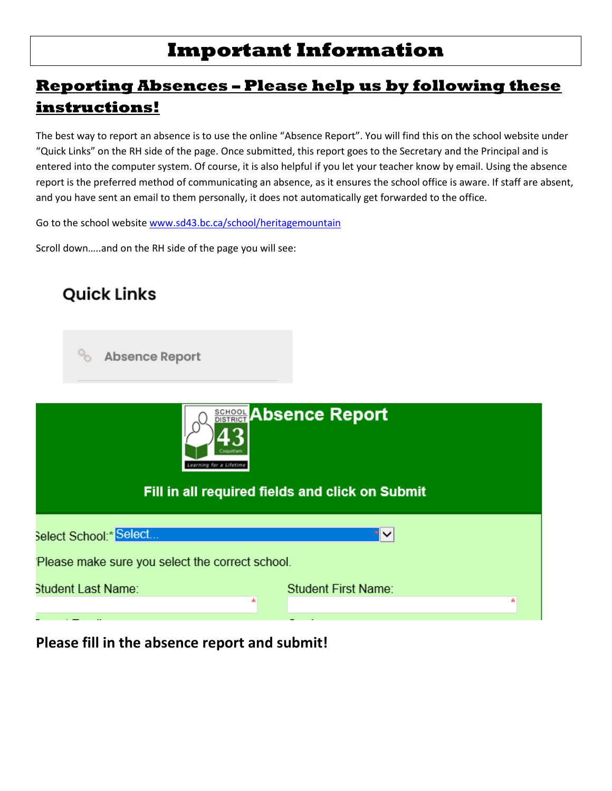# **Important Information**

# **Reporting Absences – Please help us by following these instructions!**

The best way to report an absence is to use the online "Absence Report". You will find this on the school website under "Quick Links" on the RH side of the page. Once submitted, this report goes to the Secretary and the Principal and is entered into the computer system. Of course, it is also helpful if you let your teacher know by email. Using the absence report is the preferred method of communicating an absence, as it ensures the school office is aware. If staff are absent, and you have sent an email to them personally, it does not automatically get forwarded to the office.

Go to the school websit[e www.sd43.bc.ca/school/heritagemountain](http://www.sd43.bc.ca/school/heritagemountain)

Scroll down…..and on the RH side of the page you will see:



**Please fill in the absence report and submit!**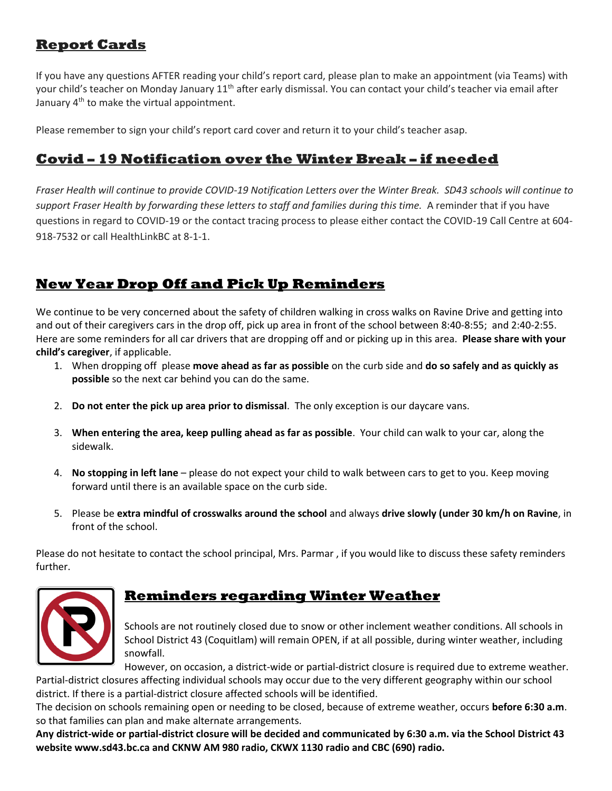## **Report Cards**

If you have any questions AFTER reading your child's report card, please plan to make an appointment (via Teams) with your child's teacher on Monday January 11<sup>th</sup> after early dismissal. You can contact your child's teacher via email after January 4<sup>th</sup> to make the virtual appointment.

Please remember to sign your child's report card cover and return it to your child's teacher asap.

## **Covid – 19 Notification over the Winter Break – if needed**

*Fraser Health will continue to provide COVID-19 Notification Letters over the Winter Break. SD43 schools will continue to support Fraser Health by forwarding these letters to staff and families during this time.* A reminder that if you have questions in regard to COVID-19 or the contact tracing process to please either contact the COVID-19 Call Centre at 604- 918-7532 or call HealthLinkBC at 8-1-1.

# **New Year Drop Off and Pick Up Reminders**

We continue to be very concerned about the safety of children walking in cross walks on Ravine Drive and getting into and out of their caregivers cars in the drop off, pick up area in front of the school between 8:40-8:55; and 2:40-2:55. Here are some reminders for all car drivers that are dropping off and or picking up in this area. **Please share with your child's caregiver**, if applicable.

- 1. When dropping off please **move ahead as far as possible** on the curb side and **do so safely and as quickly as possible** so the next car behind you can do the same.
- 2. **Do not enter the pick up area prior to dismissal**. The only exception is our daycare vans.
- 3. **When entering the area, keep pulling ahead as far as possible**. Your child can walk to your car, along the sidewalk.
- 4. **No stopping in left lane** please do not expect your child to walk between cars to get to you. Keep moving forward until there is an available space on the curb side.
- 5. Please be **extra mindful of crosswalks around the school** and always **drive slowly (under 30 km/h on Ravine**, in front of the school.

Please do not hesitate to contact the school principal, Mrs. Parmar , if you would like to discuss these safety reminders further.



# **Reminders regarding Winter Weather**

Schools are not routinely closed due to snow or other inclement weather conditions. All schools in School District 43 (Coquitlam) will remain OPEN, if at all possible, during winter weather, including snowfall.

However, on occasion, a district-wide or partial-district closure is required due to extreme weather. Partial-district closures affecting individual schools may occur due to the very different geography within our school district. If there is a partial-district closure affected schools will be identified.

The decision on schools remaining open or needing to be closed, because of extreme weather, occurs **before 6:30 a.m**. so that families can plan and make alternate arrangements.

**Any district-wide or partial-district closure will be decided and communicated by 6:30 a.m. via the School District 43 website www.sd43.bc.ca and CKNW AM 980 radio, CKWX 1130 radio and CBC (690) radio.**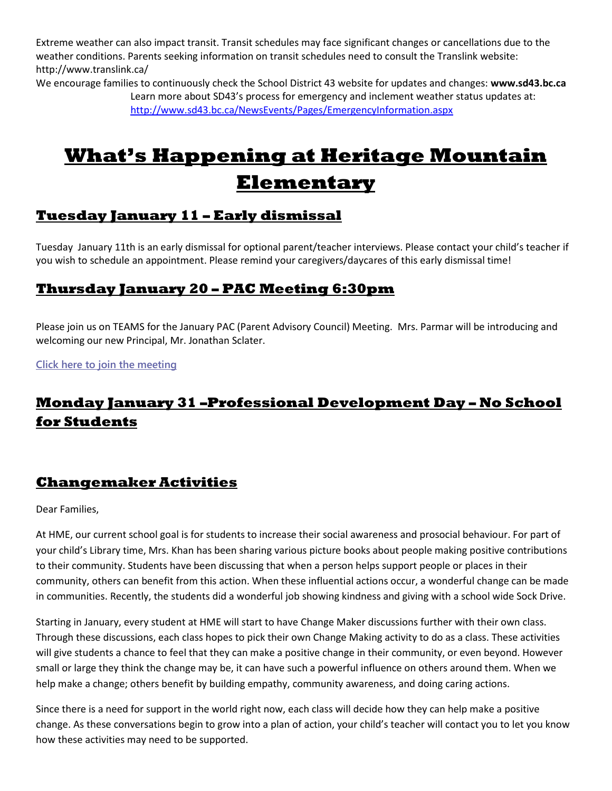Extreme weather can also impact transit. Transit schedules may face significant changes or cancellations due to the weather conditions. Parents seeking information on transit schedules need to consult the Translink website: http://www.translink.ca/

We encourage families to continuously check the School District 43 website for updates and changes: **www.sd43.bc.ca**  Learn more about SD43's process for emergency and inclement weather status updates at: <http://www.sd43.bc.ca/NewsEvents/Pages/EmergencyInformation.aspx>

# **[W](https://creativecommons.org/licenses/by-nc-nd/3.0/)hat's Happening at Heritage Mountain Elementary**

# **Tuesday January 11 – Early dismissal**

Tuesday January 11th is an early dismissal for optional parent/teacher interviews. Please contact your child's teacher if you wish to schedule an appointment. Please remind your caregivers/daycares of this early dismissal time!

#### **Thursday January 20 – PAC Meeting 6:30pm**

Please join us on TEAMS for the January PAC (Parent Advisory Council) Meeting. Mrs. Parmar will be introducing and welcoming our new Principal, Mr. Jonathan Sclater.

**[Click here to join the meeting](https://teams.microsoft.com/l/meetup-join/19%3ameeting_YmIzNDQ5NTAtMjQ1ZC00NDVmLThhYzgtN2NkNDg3YjkwMDFh%40thread.v2/0?context=%7b%22Tid%22%3a%22d9658cef-0292-4252-9925-6442de24a44b%22%2c%22Oid%22%3a%22f7a14b4d-f2ea-42d8-b475-b98ef8a4ea88%22%7d)**

# **Monday January 31 –Professional Development Day – No School for Students**

## **Changemaker Activities**

Dear Families,

At HME, our current school goal is for students to increase their social awareness and prosocial behaviour. For part of your child's Library time, Mrs. Khan has been sharing various picture books about people making positive contributions to their community. Students have been discussing that when a person helps support people or places in their community, others can benefit from this action. When these influential actions occur, a wonderful change can be made in communities. Recently, the students did a wonderful job showing kindness and giving with a school wide Sock Drive.

Starting in January, every student at HME will start to have Change Maker discussions further with their own class. Through these discussions, each class hopes to pick their own Change Making activity to do as a class. These activities will give students a chance to feel that they can make a positive change in their community, or even beyond. However small or large they think the change may be, it can have such a powerful influence on others around them. When we help make a change; others benefit by building empathy, community awareness, and doing caring actions.

Since there is a need for support in the world right now, each class will decide how they can help make a positive change. As these conversations begin to grow into a plan of action, your child's teacher will contact you to let you know how these activities may need to be supported.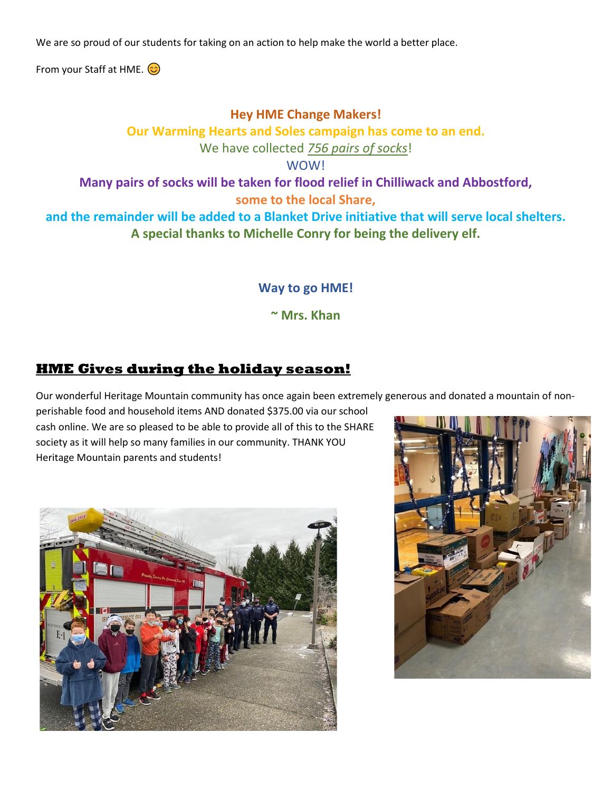We are so proud of our students for taking on an action to help make the world a better place.

From your Staff at HME.  $\odot$ 

#### **Hey HME Change Makers!**

**Our Warming Hearts and Soles campaign has come to an end.**

We have collected *756 pairs of socks*!

WOW!

**Many pairs of socks will be taken for flood relief in Chilliwack and Abbostford,** 

**some to the local Share,** 

**and the remainder will be added to a Blanket Drive initiative that will serve local shelters. A special thanks to Michelle Conry for being the delivery elf.** 

**Way to go HME!**

**~ Mrs. Khan**

## **HME Gives during the holiday season!**

Our wonderful Heritage Mountain community has once again been extremely generous and donated a mountain of non-

perishable food and household items AND donated \$375.00 via our school cash online. We are so pleased to be able to provide all of this to the SHARE society as it will help so many families in our community. THANK YOU Heritage Mountain parents and students!



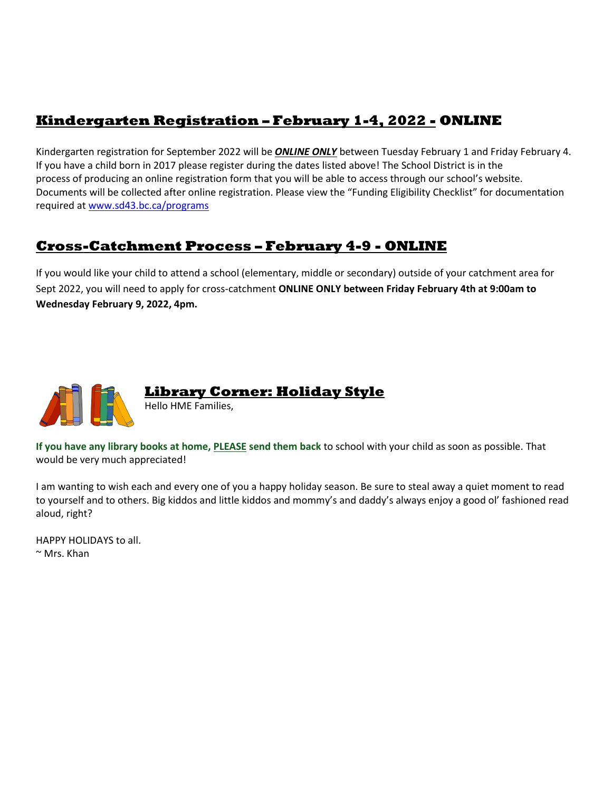# **Kindergarten Registration – February 1-4, 2022 - ONLINE**

Kindergarten registration for September 2022 will be *ONLINE ONLY* between Tuesday February 1 and Friday February 4. If you have a child born in 2017 please register during the dates listed above! The School District is in the process of producing an online registration form that you will be able to access through our school's website. Documents will be collected after online registration. Please view the "Funding Eligibility Checklist" for documentation required a[t www.sd43.bc.ca/programs](http://www.sd43.bc.ca/programs)

# **Cross-Catchment Process – February 4-9 - ONLINE**

If you would like your child to attend a school (elementary, middle or secondary) outside of your catchment area for Sept 2022, you will need to apply for cross-catchment **ONLINE ONLY between Friday February 4th at 9:00am to Wednesday February 9, 2022, 4pm.** 



# **Library Corner: Holiday Style**

Hello HME Families,

**If you have any library books at home, PLEASE send them back** to school with your child as soon as possible. That would be very much appreciated!

I am wanting to wish each and every one of you a happy holiday season. Be sure to steal away a quiet moment to read to yourself and to others. Big kiddos and little kiddos and mommy's and daddy's always enjoy a good ol' fashioned read aloud, right?

HAPPY HOLIDAYS to all.  $\sim$  Mrs. Khan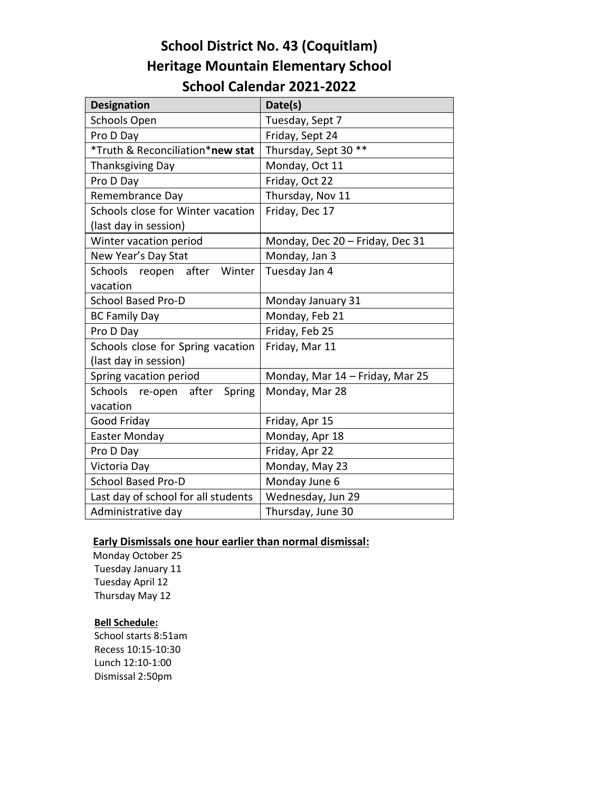# **School District No. 43 (Coquitlam) Heritage Mountain Elementary School School Calendar 2021-2022**

| <b>Designation</b>                  | Date(s)                         |  |
|-------------------------------------|---------------------------------|--|
| <b>Schools Open</b>                 | Tuesday, Sept 7                 |  |
| Pro D Day                           | Friday, Sept 24                 |  |
| *Truth & Reconciliation*new stat    | Thursday, Sept 30 **            |  |
| <b>Thanksgiving Day</b>             | Monday, Oct 11                  |  |
| Pro D Day                           | Friday, Oct 22                  |  |
| Remembrance Day                     | Thursday, Nov 11                |  |
| Schools close for Winter vacation   | Friday, Dec 17                  |  |
| (last day in session)               |                                 |  |
| Winter vacation period              | Monday, Dec 20 - Friday, Dec 31 |  |
| New Year's Day Stat                 | Monday, Jan 3                   |  |
| Schools reopen after Winter         | Tuesday Jan 4                   |  |
| vacation                            |                                 |  |
| <b>School Based Pro-D</b>           | Monday January 31               |  |
| <b>BC Family Day</b>                | Monday, Feb 21                  |  |
| Pro D Day                           | Friday, Feb 25                  |  |
| Schools close for Spring vacation   | Friday, Mar 11                  |  |
| (last day in session)               |                                 |  |
| Spring vacation period              | Monday, Mar 14 - Friday, Mar 25 |  |
| Schools re-open after<br>Spring     | Monday, Mar 28                  |  |
| vacation                            |                                 |  |
| Good Friday                         | Friday, Apr 15                  |  |
| Easter Monday                       | Monday, Apr 18                  |  |
| Pro D Day                           | Friday, Apr 22                  |  |
| Victoria Day                        | Monday, May 23                  |  |
| <b>School Based Pro-D</b>           | Monday June 6                   |  |
| Last day of school for all students | Wednesday, Jun 29               |  |
| Administrative day                  | Thursday, June 30               |  |

#### **Early Dismissals one hour earlier than normal dismissal:**

 Monday October 25 Tuesday January 11 Tuesday April 12 Thursday May 12

#### **Bell Schedule:**

 School starts 8:51am Recess 10:15-10:30 Lunch 12:10-1:00 Dismissal 2:50pm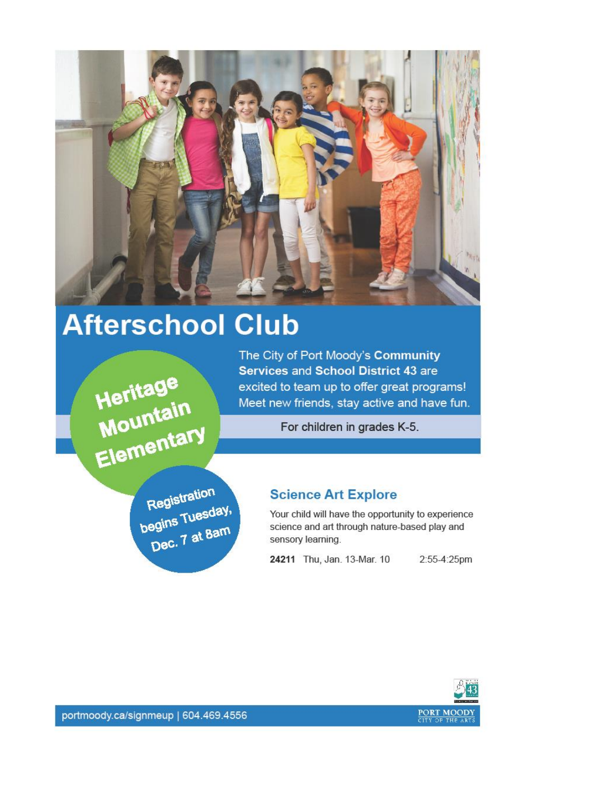

# **Afterschool Club**

Heritage<br>Mountain<br>Elementary

The City of Port Moody's Community Services and School District 43 are excited to team up to offer great programs! Meet new friends, stay active and have fun.

For children in grades K-5.

Registration begins Tuesday, Dec. 7 at 8am

#### **Science Art Explore**

Your child will have the opportunity to experience science and art through nature-based play and sensory learning.

24211 Thu, Jan. 13-Mar. 10

2:55-4:25pm



portmoody.ca/signmeup | 604.469.4556